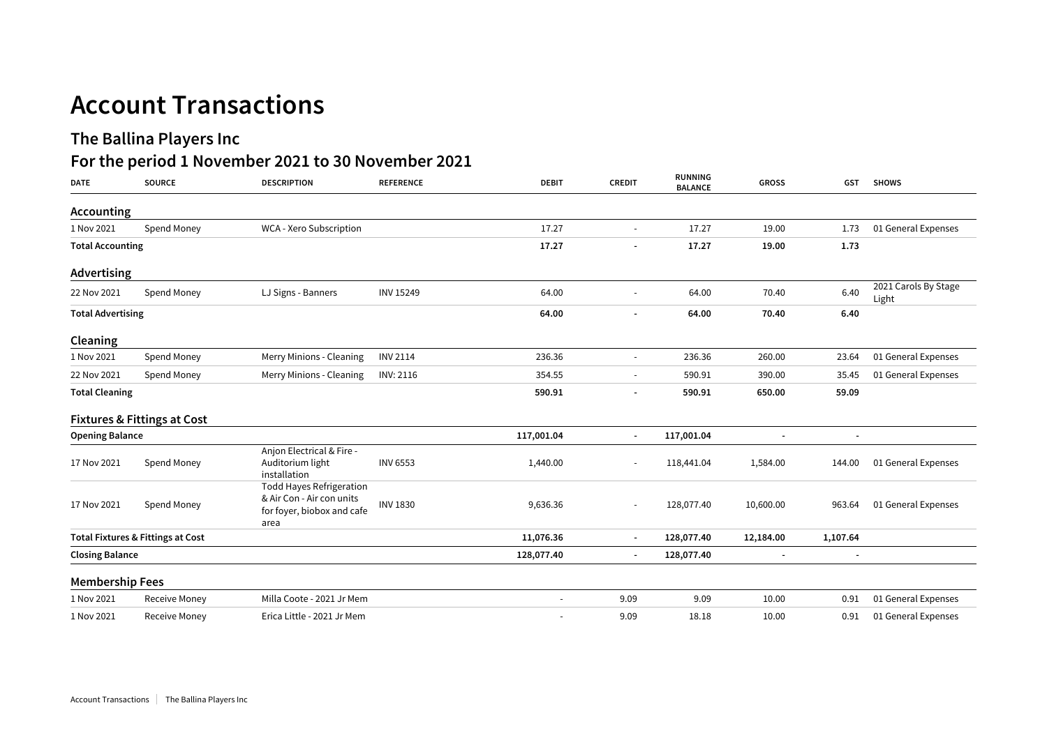## **Account Transactions**

## **The Ballina Players Inc**

## **For the period 1 November 2021 to 30 November 2021**

| <b>DATE</b>                                  | <b>SOURCE</b>                          | <b>DESCRIPTION</b>                                                                                 | <b>REFERENCE</b> | <b>DEBIT</b>             | <b>CREDIT</b>            | RUNNING<br><b>BALANCE</b> | <b>GROSS</b>   | <b>GST</b> | <b>SHOWS</b>                  |
|----------------------------------------------|----------------------------------------|----------------------------------------------------------------------------------------------------|------------------|--------------------------|--------------------------|---------------------------|----------------|------------|-------------------------------|
| <b>Accounting</b>                            |                                        |                                                                                                    |                  |                          |                          |                           |                |            |                               |
| 1 Nov 2021                                   | Spend Money                            | WCA - Xero Subscription                                                                            |                  | 17.27                    | $\sim$                   | 17.27                     | 19.00          | 1.73       | 01 General Expenses           |
| <b>Total Accounting</b>                      |                                        |                                                                                                    | 17.27            |                          | 17.27                    | 19.00                     | 1.73           |            |                               |
| Advertising                                  |                                        |                                                                                                    |                  |                          |                          |                           |                |            |                               |
| 22 Nov 2021                                  | Spend Money                            | LJ Signs - Banners                                                                                 | <b>INV 15249</b> | 64.00                    | $\overline{\phantom{a}}$ | 64.00                     | 70.40          | 6.40       | 2021 Carols By Stage<br>Light |
| <b>Total Advertising</b>                     |                                        |                                                                                                    |                  | 64.00                    |                          | 64.00                     | 70.40          | 6.40       |                               |
| Cleaning                                     |                                        |                                                                                                    |                  |                          |                          |                           |                |            |                               |
| 1 Nov 2021                                   | Spend Money                            | Merry Minions - Cleaning                                                                           | <b>INV 2114</b>  | 236.36                   | $\sim$                   | 236.36                    | 260.00         | 23.64      | 01 General Expenses           |
| 22 Nov 2021                                  | Spend Money                            | Merry Minions - Cleaning                                                                           | INV: 2116        | 354.55                   | $\overline{\phantom{a}}$ | 590.91                    | 390.00         | 35.45      | 01 General Expenses           |
| <b>Total Cleaning</b>                        |                                        |                                                                                                    |                  | 590.91                   | $\overline{\phantom{a}}$ | 590.91                    | 650.00         | 59.09      |                               |
|                                              | <b>Fixtures &amp; Fittings at Cost</b> |                                                                                                    |                  |                          |                          |                           |                |            |                               |
| <b>Opening Balance</b>                       |                                        |                                                                                                    | 117,001.04       | $\blacksquare$           | 117,001.04               | $\blacksquare$            |                |            |                               |
| 17 Nov 2021                                  | Spend Money                            | Anjon Electrical & Fire -<br>Auditorium light<br>installation                                      | <b>INV 6553</b>  | 1,440.00                 |                          | 118,441.04                | 1,584.00       | 144.00     | 01 General Expenses           |
| 17 Nov 2021                                  | Spend Money                            | <b>Todd Hayes Refrigeration</b><br>& Air Con - Air con units<br>for foyer, biobox and cafe<br>area | <b>INV 1830</b>  | 9,636.36                 | $\overline{\phantom{a}}$ | 128,077.40                | 10,600.00      | 963.64     | 01 General Expenses           |
| <b>Total Fixtures &amp; Fittings at Cost</b> |                                        |                                                                                                    | 11,076.36        | $\overline{\phantom{a}}$ | 128,077.40               | 12,184.00                 | 1,107.64       |            |                               |
| <b>Closing Balance</b>                       |                                        |                                                                                                    | 128,077.40       | $\blacksquare$           | 128,077.40               | $\blacksquare$            | $\blacksquare$ |            |                               |
| <b>Membership Fees</b>                       |                                        |                                                                                                    |                  |                          |                          |                           |                |            |                               |
| 1 Nov 2021                                   | Receive Money                          | Milla Coote - 2021 Jr Mem                                                                          |                  | ÷.                       | 9.09                     | 9.09                      | 10.00          | 0.91       | 01 General Expenses           |
| 1 Nov 2021                                   | Receive Money                          | Erica Little - 2021 Jr Mem                                                                         |                  | ÷,                       | 9.09                     | 18.18                     | 10.00          | 0.91       | 01 General Expenses           |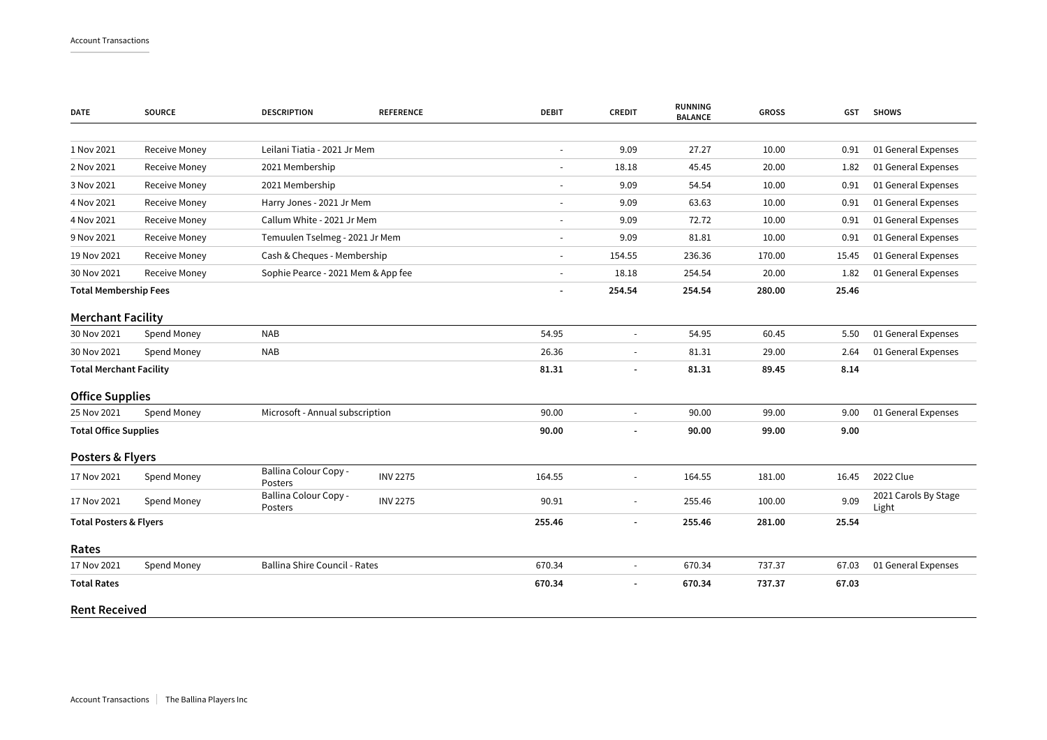| <b>DATE</b>                       | <b>SOURCE</b> | <b>DESCRIPTION</b>                 | <b>REFERENCE</b> | <b>DEBIT</b>                 | <b>CREDIT</b>            | <b>RUNNING</b><br><b>BALANCE</b> | <b>GROSS</b> | <b>GST</b> | <b>SHOWS</b>                  |
|-----------------------------------|---------------|------------------------------------|------------------|------------------------------|--------------------------|----------------------------------|--------------|------------|-------------------------------|
|                                   |               |                                    |                  |                              |                          |                                  |              |            |                               |
| 1 Nov 2021                        | Receive Money | Leilani Tiatia - 2021 Jr Mem       |                  | $\frac{1}{2}$                | 9.09                     | 27.27                            | 10.00        | 0.91       | 01 General Expenses           |
| 2 Nov 2021                        | Receive Money | 2021 Membership                    |                  | $\frac{1}{2}$                | 18.18                    | 45.45                            | 20.00        | 1.82       | 01 General Expenses           |
| 3 Nov 2021                        | Receive Money | 2021 Membership                    |                  | $\blacksquare$               | 9.09                     | 54.54                            | 10.00        | 0.91       | 01 General Expenses           |
| 4 Nov 2021                        | Receive Money | Harry Jones - 2021 Jr Mem          |                  | $\overline{\phantom{m}}$     | 9.09                     | 63.63                            | 10.00        | 0.91       | 01 General Expenses           |
| 4 Nov 2021                        | Receive Money | Callum White - 2021 Jr Mem         |                  | ٠                            | 9.09                     | 72.72                            | 10.00        | 0.91       | 01 General Expenses           |
| 9 Nov 2021                        | Receive Money | Temuulen Tselmeg - 2021 Jr Mem     |                  | ۰                            | 9.09                     | 81.81                            | 10.00        | 0.91       | 01 General Expenses           |
| 19 Nov 2021                       | Receive Money | Cash & Cheques - Membership        |                  |                              | 154.55                   | 236.36                           | 170.00       | 15.45      | 01 General Expenses           |
| 30 Nov 2021                       | Receive Money | Sophie Pearce - 2021 Mem & App fee |                  | $\frac{1}{2}$                | 18.18                    | 254.54                           | 20.00        | 1.82       | 01 General Expenses           |
| <b>Total Membership Fees</b>      |               |                                    |                  | $\qquad \qquad \blacksquare$ | 254.54                   | 254.54                           | 280.00       | 25.46      |                               |
| <b>Merchant Facility</b>          |               |                                    |                  |                              |                          |                                  |              |            |                               |
| 30 Nov 2021                       | Spend Money   | <b>NAB</b>                         |                  | 54.95                        | $\blacksquare$           | 54.95                            | 60.45        | 5.50       | 01 General Expenses           |
| 30 Nov 2021                       | Spend Money   | <b>NAB</b>                         |                  | 26.36                        | $\overline{\phantom{a}}$ | 81.31                            | 29.00        | 2.64       | 01 General Expenses           |
| <b>Total Merchant Facility</b>    |               |                                    |                  | 81.31                        | $\blacksquare$           | 81.31                            | 89.45        | 8.14       |                               |
| <b>Office Supplies</b>            |               |                                    |                  |                              |                          |                                  |              |            |                               |
| 25 Nov 2021                       | Spend Money   | Microsoft - Annual subscription    |                  | 90.00                        | $\blacksquare$           | 90.00                            | 99.00        | 9.00       | 01 General Expenses           |
| <b>Total Office Supplies</b>      |               |                                    |                  | 90.00                        |                          | 90.00                            | 99.00        | 9.00       |                               |
| Posters & Flyers                  |               |                                    |                  |                              |                          |                                  |              |            |                               |
| 17 Nov 2021                       | Spend Money   | Ballina Colour Copy -<br>Posters   | <b>INV 2275</b>  | 164.55                       |                          | 164.55                           | 181.00       | 16.45      | 2022 Clue                     |
| 17 Nov 2021                       | Spend Money   | Ballina Colour Copy -<br>Posters   | <b>INV 2275</b>  | 90.91                        |                          | 255.46                           | 100.00       | 9.09       | 2021 Carols By Stage<br>Light |
| <b>Total Posters &amp; Flyers</b> |               |                                    | 255.46           | $\blacksquare$               | 255.46                   | 281.00                           | 25.54        |            |                               |
| Rates                             |               |                                    |                  |                              |                          |                                  |              |            |                               |
| 17 Nov 2021                       | Spend Money   | Ballina Shire Council - Rates      |                  | 670.34                       |                          | 670.34                           | 737.37       | 67.03      | 01 General Expenses           |
| <b>Total Rates</b>                |               |                                    |                  | 670.34                       |                          | 670.34                           | 737.37       | 67.03      |                               |
| <b>Rent Received</b>              |               |                                    |                  |                              |                          |                                  |              |            |                               |